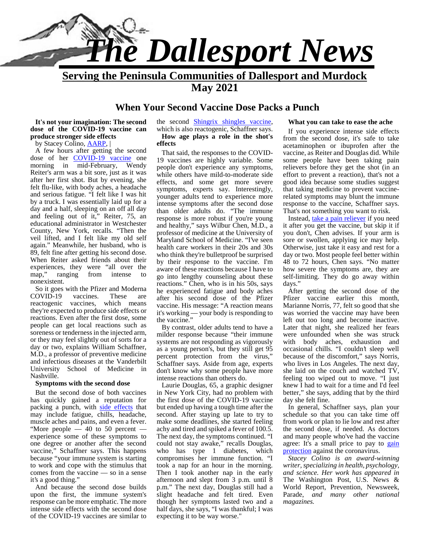

**Serving the Peninsula Communities of Dallesport and Murdock**

**May 2021**

#### **When Your Second Vaccine Dose Packs a Punch**

**It's not your imagination: The second dose of the COVID-19 vaccine can produce stronger side effects**

by Stacey Colino, AARP, |

A few hours after getting the second dose of her **COVID-19** vaccine one morning in mid-February, Wendy Reiter's arm was a bit sore, just as it was after her first shot. But by evening, she felt flu-like, with body aches, a headache and serious fatigue. "I felt like I was hit by a truck. I was essentially laid up for a day and a half, sleeping on an off all day and feeling out of it," Reiter, 75, an educational administrator in Westchester County, New York, recalls. "Then the veil lifted, and I felt like my old self again." Meanwhile, her husband, who is 89, felt fine after getting his second dose. When Reiter asked friends about their experiences, they were "all over the map," ranging from intense to nonexistent.

So it goes with the Pfizer and Moderna COVID-19 vaccines. These are reactogenic vaccines, which means they're expected to produce side effects or reactions. Even after the first dose, some people can get local reactions such as soreness or tenderness in the injected arm, or they may feel slightly out of sorts for a day or two, explains William Schaffner, M.D., a professor of preventive medicine and infectious diseases at the Vanderbilt University School of Medicine in Nashville.

#### **Symptoms with the second dose**

But the second dose of both vaccines has quickly gained a reputation for packing a punch, with side effects that may include fatigue, chills, headache, muscle aches and pains, and even a fever. "More people  $-40$  to 50 percent  $$ experience some of these symptoms to one degree or another after the second vaccine," Schaffner says. This happens because "your immune system is starting to work and cope with the stimulus that comes from the vaccine — so in a sense it's a good thing."

And because the second dose builds upon the first, the immune system's response can be more emphatic. The more intense side effects with the second dose of the COVID-19 vaccines are similar to the second Shingrix shingles vaccine,

which is also reactogenic, Schaffner says.

#### **How age plays a role in the shot's effects**

That said, the responses to the COVID- 19 vaccines are highly variable. Some people don't experience any symptoms, while others have mild-to-moderate side effects, and some get more severe symptoms, experts say. Interestingly, younger adults tend to experience more intense symptoms after the second dose than older adults do. "The immune response is more robust if you're young and healthy," says Wilbur Chen, M.D., a professor of medicine at the University of Maryland School of Medicine. "I've seen health care workers in their 20s and 30s who think they're bulletproof be surprised by their response to the vaccine. I'm aware of these reactions because I have to go into lengthy counseling about these reactions." Chen, who is in his 50s, says he experienced fatigue and body aches after his second dose of the Pfizer vaccine. His message: "A reaction means it's working — your body is responding to the vaccine."

By contrast, older adults tend to have a milder response because "their immune systems are not responding as vigorously as a young person's, but they still get 95 percent protection from the virus," Schaffner says. Aside from age, experts don't know why some people have more intense reactions than others do.

Laurie Douglas, 65, a graphic designer in New York City, had no problem with the first dose of the COVID-19 vaccine but ended up having a tough time after the second. After staying up late to try to make some deadlines, she started feeling achy and tired and spiked a fever of 100.5. The next day, the symptoms continued. "I could not stay awake," recalls Douglas, who has type 1 diabetes, which compromises her immune function. "I took a nap for an hour in the morning. Then I took another nap in the early afternoon and slept from 3 p.m. until 8 p.m." The next day, Douglas still had a slight headache and felt tired. Even though her symptoms lasted two and a half days, she says, "I was thankful; I was expecting it to be way worse."

#### **What you can take to ease the ache**

If you experience intense side effects from the second dose, it's safe to take acetaminophen or ibuprofen after the vaccine, as Reiter and Douglas did. While some people have been taking pain relievers before they get the shot (in an effort to prevent a reaction), that's not a good idea because some studies suggest that taking medicine to prevent vaccinerelated symptoms may blunt the immune response to the vaccine, Schaffner says. That's not something you want to risk.

Instead, take a pain reliever if you need it after you get the vaccine, but skip it if you don't, Chen advises. If your arm is sore or swollen, applying ice may help. Otherwise, just take it easy and rest for a day or two. Most people feel better within 48 to 72 hours, Chen says. "No matter how severe the symptoms are, they are self-limiting. They do go away within days."

After getting the second dose of the Pfizer vaccine earlier this month, Marianne Norris, 77, felt so good that she was worried the vaccine may have been left out too long and become inactive. Later that night, she realized her fears were unfounded when she was struck with body aches, exhaustion and occasional chills. "I couldn't sleep well because of the discomfort," says Norris, who lives in Los Angeles. The next day, she laid on the couch and watched TV, feeling too wiped out to move. "I just knew I had to wait for a time and I'd feel better," she says, adding that by the third day she felt fine.

In general, Schaffner says, plan your schedule so that you can take time off from work or plan to lie low and rest after the second dose, if needed. As doctors and many people who've had the vaccine agree: It's a small price to pay to gain protection against the coronavirus.

*Stacey Colino is an award-winning writer, specializing in health, psychology, and science. Her work has appeared in* The Washington Post, U.S. News & World Report, Prevention, Newsweek, Parade, *and many other national magazines.*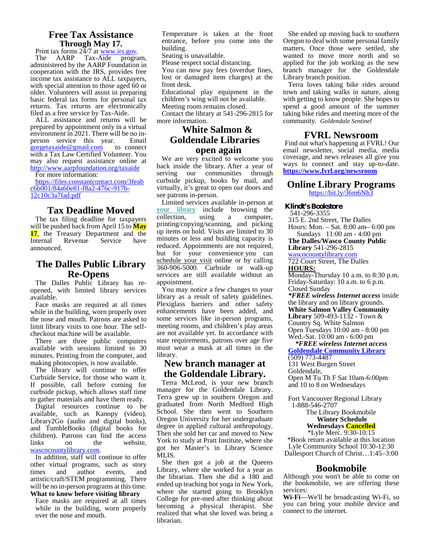#### **Free Tax Assistance Through May 17.**

Print tax forms  $2\frac{4}{7}$  at www.irs.gov.<br>The AARP Tax-Aide program, administered by the AARP Foundation in cooperation with the IRS, provides free income tax assistance to ALL taxpayers, with special attention to those aged 60 or older. Volunteers will assist in preparing basic federal tax forms for personal tax returns. Tax returns are electronically filed as a free service by Tax-Aide.

ALL assistance and returns will be prepared by appointment only in a virtual environment in 2021. There will be no in-<br>person service this year. Email gorgetaxaide@gmail.com to connect with a Tax Law Certified Volunteer. You may also request assistance online at http://www.aarpfoundation.org/taxaide

For more information: https://files.constantcontact.com/3feab

c6b001/84a60e81-f8a2-476c-917b-<br>12c10c3a7fad.pdf

#### **Tax Deadline Moved**

The tax filing deadline for taxpayers will be pushed back from April 15 to **May 17**, the Treasury Department and the Internal Revenue Service have announced.

#### **The Dalles Public Library Re-Opens**

The Dalles Public Library has re opened, with limited library services available.

Face masks are required at all times while in the building, worn properly over the nose and mouth. Patrons are asked to limit library visits to one hour. The self checkout machine will be available.

There are three public computers available with sessions limited to 30 minutes. Printing from the computer, and making photocopies, is now available.

The library will continue to offer Curbside Service, for those who want it. If possible, call before coming for curbside pickup, which allows staff time to gather materials and have them ready.

Digital resources continue to be available, such as Kanopy (video), Library2Go (audio and digital books), and TumbleBooks (digital books for children). Patrons can find the access links on the website, wascocountylibrary.com.

In addition, staff will continue to offer other virtual programs, such as story times and author events, and artistic/craft/STEM programming. There will be no in-person programs at this time. **What to know before visiting library**

Face masks are required at all times while in the building, worn properly over the nose and mouth.

Temperature is taken at the front entrance, before you come into the building.

Seating is unavailable.

Please respect social distancing.

You can now pay fees (overdue fines, lost or damaged item charges) at the front desk.

Educational play equipment in the children's wing will not be available.

Meeting room remains closed.

Contact the library at 541-296-2815 for more information. **White Salmon &**

# **Goldendale Libraries open again**

We are very excited to welcome you back inside the library. After a year of serving our communities through curbside pickup, books by mail, and virtually, it's great to open our doors and see patrons in-person.

Limited services available in-person at your library include browsing the collection, using a computer, collection, using a computer, printing/copying/scanning, and picking up items on hold. Visits are limited to 30 minutes or less and building capacity is reduced. Appointments are not required, but for your convenience you can schedule your visit online or by calling 360-906-5000. Curbside or walk-up services are still available without an appointment.

You may notice a few changes to your library as a result of safety guidelines. Plexiglass barriers and other safety enhancements have been added, and some services like in-person programs, meeting rooms, and children's play areas are not available yet. In accordance with state requirements, patrons over age five must wear a mask at all times in the library.

#### **New branch manager at the Goldendale Library.**

Terra McLeod, is your new branch manager for the Goldendale Library. Terra grew up in southern Oregon and graduated from North Medford High School. She then went to Southern Oregon University for her undergraduate degree in applied cultural anthropology. Then she sold her car and moved to New York to study at Pratt Institute, where she got her Master's in Library Science MLIS.

She then got a job at the Queens Library, where she worked for a year as the librarian. Then she did a 180 and ended up teaching hot yoga in New York, where she started going to Brooklyn College for pre-med after thinking about becoming a physical therapist. She realized that what she loved was being a librarian.

She ended up moving back to southern Oregon to deal with some personal family matters. Once those were settled, she wanted to move more north and so applied for the job working as the new branch manager for the Goldendale Library branch position.

Terra loves taking bike rides around town and taking walks in nature, along with getting to know people. She hopes to spend a good amount of the summer taking bike rides and meeting more of the community. *Goldendale Sentinel*

#### **FVRL Newsroom**

Find out what's happening at FVRL! Our email newsletter, social media, media coverage, and news releases all give you ways to connect and stay up-to-date. **https://www.fvrl.org/newsroom**

#### **Online Library Programs** https://bit.ly/36m6Nh3

**Klindt's Bookstore**

541-296-3355

315 E. 2nd Street, The Dalles Hours: Mon. – Sat. 8:00 am– 6:00 pm

Sundays 11:00 am - 4:00 pm **The Dalles/Wasco County Public**

**Library** 541-296-2815

wascocountylibrary.com 722 Court Street, The Dalles

**HOURS:**

Monday-Thursday 10 a.m. to 8:30 p.m. Friday-Saturday: 10 a.m. to 6 p.m. Closed Sunday

*\*FREE wireless Internet access* inside the library and on library grounds. **White Salmon Valley Community Library** 509-493-1132 - Town &

Country Sq. White Salmon

Open Tuesdays 10:00 am - 8:00 pm Wed.-Sat. 10:00 am - 6:00 pm

*\*FREE wireless Internet access* **Goldendale Community Library** (509) 773-4487

131 West Burgen Street Goldendale,

Open M Tu Th F Sat 10am-6:00pm and 10 to 8 on Wednesdays

Fort Vancouver Regional Library 1-888-546-2707

The Library Bookmobile **Winter Schedule Wednesdays Cancelled**

\*Lyle Merc. 9:30-10:15 \*Book return available at this location Lyle Community School 10:30-12:30 Dallesport Church of Christ…1:45–3:00

#### **Bookmobile**

Although you won't be able to come on the bookmobile, we are offering these services:

**Wi-Fi**—We'll be broadcasting Wi-Fi, so you can bring your mobile device and connect to the internet.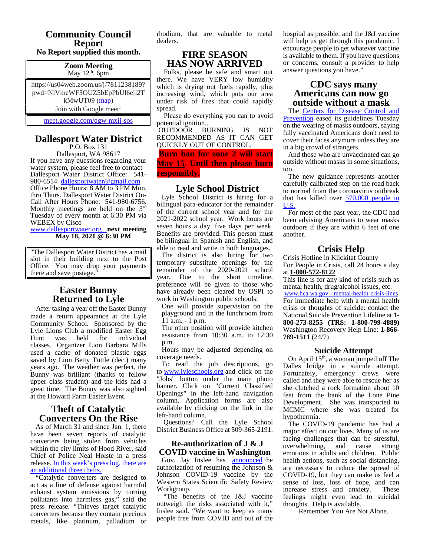# **Community Council Report**

# **No Report supplied this month.**

#### **Zoom Meeting** May 12<sup>th</sup>. 6pm

https://us04web.zoom.us/j/7811238189? pwd=NlVmeWF5OUZ5bEpPbUl6ejl2T kMwUT09 (map) Join with Google meet:

meet.google.com/qgw-mxjj-sos

# **Dallesport Water District**

P.O. Box 131 Dallesport, WA 98617 If you have any questions regarding your water system, please feel free to contact Dallesport Water District Office: 541-<br>980-6514 dallesportwater@gmail.com Office Phone Hours: 8 AM to 3 PM Mon. thru Thurs. Dallesport Water District On-<br>Call After Hours Phone: 541-980-6756.<br>Monthly meetings are held on the 3<sup>rd</sup> Tuesday of every month at 6:30 PM via WEBEX by Cisco

www.dallesportwater.org **next meeting May 18, 2021 @ 6:30 PM**

"The Dallesport Water District has a mail slot in their building next to the Post Office. You may drop your payments there and save postage."

#### **Easter Bunny Returned to Lyle**

After taking a year off the Easter Bunny made a return appearance at the Lyle Community School. Sponsored by the Lyle Lions Club a modified Easter Egg Hunt was held for individual classes. Organizer Lion Barbara Mills used a cache of donated plastic eggs saved by Lion Betty Tuttle (dec.) many years ago. The weather was perfect, the Bunny was brilliant (thanks to fellow upper class student) and the kids had a great time. The Bunny was also sighted at the Howard Farm Easter Event.

#### **Theft of Catalytic Converters On the Rise**

As of March 31 and since Jan. 1, there have been seven reports of catalytic converters being stolen from vehicles within the city limits of Hood River, said Chief of Police Neal Holste in a press release. In this week's press log, there are an additional three thefts.

"Catalytic converters are designed to act as a line of defense against harmful exhaust system emissions by turning pollutants into harmless gas," said the press release. "Thieves target catalytic converters because they contain precious metals, like platinum, palladium or rhodium, that are valuable to metal dealers.

#### **FIRE SEASON HAS NOW ARRIVED**

Folks, please be safe and smart out there. We have VERY low humidity which is drying out fuels rapidly, plus increasing wind, which puts our area under risk of fires that could rapidly spread.

Please do everything you can to avoid potential ignition...

OUTDOOR BURNING IS NOT RECOMMENDED AS IT CAN GET QUICKLY OUT OF CONTROL.

**Burn ban for zone 2 will start May 15. Until then please burn responsibly.**

#### **Lyle School District**

Lyle School District is hiring for a bilingual para-educator for the remainder of the current school year and for the 2021-2022 school year. Work hours are seven hours a day, five days per week. Benefits are provided. This person must be bilingual in Spanish and English, and able to read and write in both languages.

The district is also hiring for two temporary substitute openings for the remainder of the 2020-2021 school year. Due to the short timeline, preference will be given to those who have already been cleared by OSPI to work in Washington public schools:

One will provide supervision on the playground and in the lunchroom from 11 a.m. - 1 p.m.

The other position will provide kitchen assistance from 10:30 a.m. to 12:30 p.m.

Hours may be adjusted depending on coverage needs.

To read the job descriptions, go to www.lyleschools.org and click on the "Jobs" button under the main photo banner. Click on "Current Classified Openings" in the left-hand navigation column. Application forms are also available by clicking on the link in the left-hand column.

Questions? Call the Lyle School District Business Office at 509-365-2191.

#### **Re-authorization of J & J COVID vaccine in Washington**

Gov. Jay Inslee has **announced** the authorization of resuming the Johnson & Johnson COVID-19 vaccine by the Western States Scientific Safety Review Workgroup.

"The benefits of the J&J vaccine outweigh the risks associated with it," Inslee said. "We want to keep as many people free from COVID and out of the hospital as possible, and the J&J vaccine will help us get through this pandemic. I encourage people to get whatever vaccine is available to them. If you have questions or concerns, consult a provider to help answer questions you have."

#### **CDC says many Americans can now go outside without a mask**

The Centers for Disease Control and Prevention eased its guidelines Tuesday on the wearing of masks outdoors, saying fully vaccinated Americans don't need to cover their faces anymore unless they are in a big crowd of strangers.

And those who are unvaccinated can go outside without masks in some situations, too.

The new guidance represents another carefully calibrated step on the road back to normal from the coronavirus outbreak that has killed over 570,000 people in U.S.

For most of the past year, the CDC had been advising Americans to wear masks outdoors if they are within 6 feet of one another.

#### **Crisis Help**

Crisis Hotline in Klickitat County For People in Crisis, call 24 hours a day at **1-800-572-8122**

This line is for any kind of crisis such as mental health, drug/alcohol issues, etc. www.hca.wa.gov › mental-health-crisis-lines For immediate help with a mental health crisis or thoughts of suicide: contact the National Suicide Prevention Lifeline at **1- 800-273-8255 (TRS: 1-800-799-4889)** Washington Recovery Help Line: **1-866- 789-1511** (24/7)

#### **Suicide Attempt**

On April 15<sup>th</sup>, a woman jumped off The Dalles bridge in a suicide attempt. Fortunately, emergency crews were called and they were able to rescue her as she clutched a rock formation about 10 feet from the bank of the Lone Pine Development. She was transported to MCMC where she was treated for hypothermia.

The COVID-19 pandemic has had a major effect on our lives. Many of us are facing challenges that can be stressful, overwhelming, and cause strong emotions in adults and children. Public health actions, such as social distancing, are necessary to reduce the spread of COVID-19, but they can make us feel a sense of loss, loss of hope, and can increase stress and anxiety. These increase stress and anxiety. feelings might even lead to suicidal thoughts. Help is available.

Remember You Are Not Alone.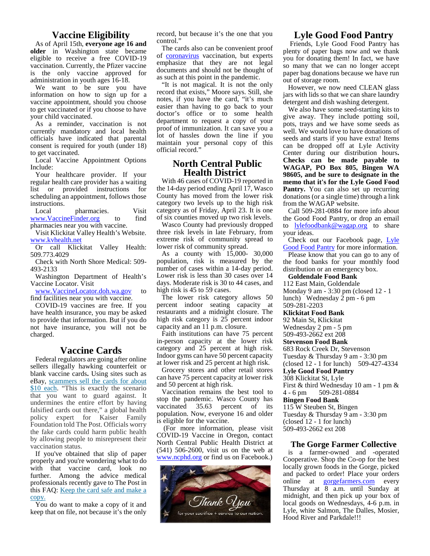#### **Vaccine Eligibility**

As of April 15th, **everyone age 16 and older** in Washington state became eligible to receive a free COVID-19 vaccination. Currently, the Pfizer vaccine is the only vaccine approved for administration in youth ages 16-18.

We want to be sure you have information on how to sign up for a vaccine appointment, should you choose to get vaccinated or if you choose to have your child vaccinated.

As a reminder, vaccination is not currently mandatory and local health officials have indicated that parental consent is required for youth (under 18) to get vaccinated.

Local Vaccine Appointment Options Include:

Your healthcare provider. If your regular health care provider has a waiting list or provided instructions for scheduling an appointment, follows those instructions.

Local pharmacies. Visit www.VaccineFinder.org to find pharmacies near you with vaccine.

Visit Klickitat Valley Health's Website. www.kvhealth.net

Or call Klickitat Valley Health: 509.773.4029

Check with North Shore Medical: 509- 493-2133

Washington Department of Health's Vaccine Locator. Visit

www.VaccineLocator.doh.wa.gov to find facilities near you with vaccine.

COVID-19 vaccines are free. If you have health insurance, you may be asked to provide that information. But if you do not have insurance, you will not be charged.

#### **Vaccine Cards**

Federal regulators are going after online sellers illegally hawking counterfeit or blank vaccine cards**.** Using sites such as eBay, scammers sell the cards for about \$10 each. "This is exactly the scenario that you want to guard against. It undermines the entire effort by having falsified cards out there," a global health policy expert for Kaiser Family Foundation told The Post. Officials worry the fake cards could harm public health by allowing people to misrepresent their vaccination status.

If you've obtained that slip of paper properly and you're wondering what to do with that vaccine card, look no further. Among the advice medical professionals recently gave to The Post in this FAQ: Keep the card safe and make a copy.

You do want to make a copy of it and keep that on file, not because it's the only record, but because it's the one that you control.'

The cards also can be convenient proof of coronavirus vaccination, but experts emphasize that they are not legal documents and should not be thought of as such at this point in the pandemic.

"It is not magical. It is not the only record that exists," Moore says. Still, she notes, if you have the card, "it's much easier than having to go back to your doctor's office or to some health department to request a copy of your proof of immunization. It can save you a lot of hassles down the line if you maintain your personal copy of this official record.'

#### **North Central Public Health District**

With 46 cases of COVID-19 reported in the 14-day period ending April 17, Wasco County has moved from the lower risk category two levels up to the high risk category as of Friday, April 23. It is one of six counties moved up two risk levels.

Wasco County had previously dropped to three risk levels in late February, from extreme risk of community spread to lower risk of community spread.

As a county with 15,000- 30,000 population, risk is measured by the number of cases within a 14-day period. Lower risk is less than 30 cases over 14 days. Moderate risk is 30 to 44 cases, and high risk is 45 to 59 cases.

The lower risk category allows 50 percent indoor seating capacity at restaurants and a midnight closure. The high risk category is 25 percent indoor capacity and an 11 p.m. closure.

Faith institutions can have 75 percent in-person capacity at the lower risk category and 25 percent at high risk. Indoor gyms can have 50 percent capacity at lower risk and 25 percent at high risk.

Grocery stores and other retail stores can have 75 percent capacity at lower risk and 50 percent at high risk.

Vaccination remains the best tool to  $4 - 6$  pm stop the pandemic. Wasco County has vaccinated 35.63 percent of its population. Now, everyone 16 and older is eligible for the vaccine.

(For more information, please visit COVID-19 Vaccine in Oregon, contact North Central Public Health District at (541) 506-2600, visit us on the web at www.ncphd.org or find us on Facebook.)



#### **Lyle Good Food Pantry**

Friends, Lyle Good Food Pantry has plenty of paper bags now and we thank you for donating them! In fact, we have so many that we can no longer accept paper bag donations because we have run out of storage room.

However, we now need CLEAN glass jars with lids so that we can share laundry detergent and dish washing detergent.

We also have some seed-starting kits to give away. They include potting soil, pots, trays and we have some seeds as well. We would love to have donations of seeds and starts if you have extra! Items can be dropped off at Lyle Activity Center during our distribution hours**. Checks can be made payable to WAGAP, PO Box 805, Bingen WA 98605, and be sure to designate in the memo that it's for the Lyle Good Food Pantry.** You can also set up recurring donations (or a single time) through a link from the WAGAP website.

Call 509-281-0884 for more info about the Good Food Pantry, or drop an email  $lylefoodbank@wagan.org$  to share your ideas.

Check out our Facebook page, Lyle Good Food Pantry for more information.

Please know that you can go to any of the food banks for your monthly food distribution or an emergency box.

**Goldendale Food Bank**

112 East Main, Goldendale

Monday 9 am - 3:30 pm (closed 12 - 1 lunch) Wednesday 2 pm - 6 pm 509-281-2203

**Klickitat Food Bank**

92 Main St, Klickitat

Wednesday 2 pm - 5 pm 509-493-2662 ext 208

**Stevenson Food Bank**

683 Rock Creek Dr, Stevenson

Tuesday & Thursday 9 am - 3:30 pm

(closed 12 - 1 for lunch) 509-427-4334

**Lyle Good Food Pantry**

308 Klickitat St, Lyle

First & third Wednesday 10 am - 1 pm & 509-281-0884

**Bingen Food Bank**

115 W Steuben St, Bingen Tuesday & Thursday 9 am - 3:30 pm

(closed 12 - 1 for lunch)

509-493-2662 ext 208

#### **The Gorge Farmer Collective**

is a farmer-owned and -operated Cooperative. Shop the Co-op for the best locally grown foods in the Gorge, picked and packed to order! Place your orders online at gorgefarmers.com every Thursday at 8 a.m. until Sunday at midnight, and then pick up your box of local goods on Wednesdays, 4-6 p.m. in Lyle, white Salmon, The Dalles, Mosier, Hood River and Parkdale!!!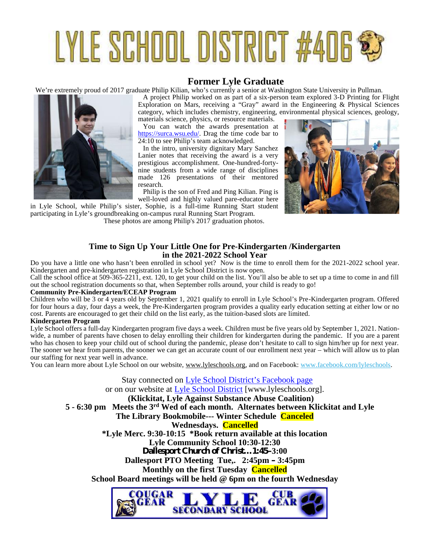# LYLE SCHOOL DISTRICT #406 \$

### **Former Lyle Graduate**

We're extremely proud of 2017 graduate Philip Kilian, who's currently a senior at Washington State University in Pullman.



A project Philip worked on as part of a six-person team explored 3-D Printing for Flight Exploration on Mars, receiving a "Gray" award in the Engineering & Physical Sciences category, which includes chemistry, engineering, environmental physical sciences, geology, materials science, physics, or resource materials.

You can watch the awards presentation at https://surca.wsu.edu/. Drag the time code bar to 24:10 to see Philip's team acknowledged.

In the intro, university dignitary Mary Sanchez Lanier notes that receiving the award is a very prestigious accomplishment. One-hundred-forty nine students from a wide range of disciplines made 126 presentations of their mentored research.

Philip is the son of Fred and Ping Kilian. Ping is well-loved and highly valued pare-educator here

in Lyle School, while Philip's sister, Sophie, is a full-time Running Start student participating in Lyle's groundbreaking on-campus rural Running Start Program. These photos are among Philip's 2017 graduation photos.



#### **Time to Sign Up Your Little One for Pre-Kindergarten /Kindergarten in the 2021-2022 School Year**

Do you have a little one who hasn't been enrolled in school yet? Now is the time to enroll them for the 2021-2022 school year. Kindergarten and pre-kindergarten registration in Lyle School District is now open.

Call the school office at 509-365-2211, ext. 120, to get your child on the list. You'll also be able to set up a time to come in and fill out the school registration documents so that, when September rolls around, your child is ready to go!

#### **Community Pre-Kindergarten/ECEAP Program**

Children who will be 3 or 4 years old by September 1, 2021 qualify to enroll in Lyle School's Pre-Kindergarten program. Offered for four hours a day, four days a week, the Pre-Kindergarten program provides a quality early education setting at either low or no cost. Parents are encouraged to get their child on the list early, as the tuition-based slots are limited.

#### **Kindergarten Program**

Lyle School offers a full-day Kindergarten program five days a week. Children must be five years old by September 1, 2021. Nation wide, a number of parents have chosen to delay enrolling their children for kindergarten during the pandemic. If you are a parent who has chosen to keep your child out of school during the pandemic, please don't hesitate to call to sign him/her up for next year. The sooner we hear from parents, the sooner we can get an accurate count of our enrollment next year – which will allow us to plan our staffing for next year well in advance.

You can learn more about Lyle School on our website, www.lyleschools.org, and on Facebook: www.facebook.com/lyleschools.

Stay connected on Lyle School District's Facebook page or on our website at Lyle School District [www.lyleschools.org]. **(Klickitat, Lyle Against Substance Abuse Coalition) 5 - 6:30 pm Meets the 3rd Wed of each month. Alternates between Klickitat and Lyle The Library Bookmobile--- Winter Schedule Canceled Wednesdays. Cancelled \*Lyle Merc. 9:30-10:15 \*Book return available at this location Lyle Community School 10:30-12:30 Dallesport Church of Christ…1:45–3:00 Dallesport PTO Meeting Tue,. 2:45pm – 3:45pm Monthly on the first Tuesday Cancelled School Board meetings will be held @ 6pm on the fourth Wednesday**

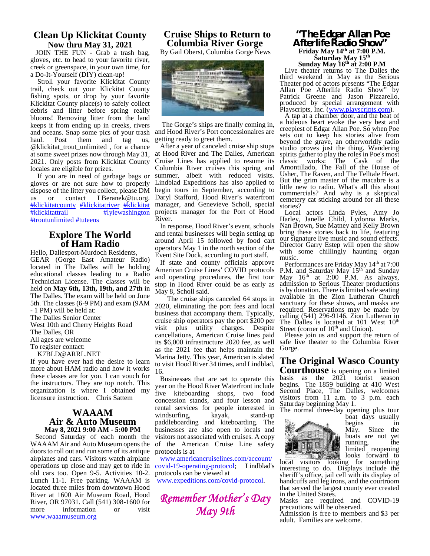#### **Clean Up Klickitat County Now thru May 31, 2021**

JOIN THE FUN - Grab a trash bag, gloves, etc. to head to your favorite river, creek or greenspace, in your own time, for a Do-It-Yourself (DIY) clean-up!

Stroll your favorite Klickitat County trail, check out your Klickitat County fishing spots, or drop by your favorite Klickitat County place(s) to safely collect debris and litter before spring really blooms! Removing litter from the land keeps it from ending up in creeks, rivers and oceans. Snap some pics of your trash haul. Post them and tag us, @klickitat\_trout\_unlimited , for a chance at some sweet prizes now through May 31, 2021. Only posts from Klickitat County locales are eligible for prizes.

If you are in need of garbage bags or gloves or are not sure how to properly dispose of the litter you collect, please DM us or contact LBeranek@tu.org. #klickitatcounty #klickitatriver #klickitat #lylewashington #troutunlimited #tuteens

#### **Explore The World of Ham Radio**

Hello, Dallesport-Murdoch Residents, GEAR (Gorge East Amateur Radio) located in The Dalles will be holding educational classes leading to a Radio Technician License. The classes will be held on **May 6th, 13th, 19th, and 27th** in The Dalles. The exam will be held on June 5th. The classes (6-9 PM) and exam (9AM

- 1 PM) will be held at:

The Dalles Senior Center

West 10th and Cherry Heights Road visit

The Dalles, OR

All ages are welcome

To register contact:

K7BLD@ARRL.NET

If you have ever had the desire to learn more about HAM radio and how it works these classes are for you. I can vouch for the instructors. They are top notch. This organization is where I obtained my licensure instruction. Chris Sattem

#### **WAAAM Air & Auto Museum May 8, 2021 9:00 AM - 5:00 PM**

Second Saturday of each month the WAAAM Air and Auto Museum opens the doors to roll out and run some of its antique airplanes and cars. Visitors watch airplane operations up close and may get to ride in old cars too. Open 9-5. Activities 10-2. Lunch 11-1. Free parking. WAAAM is located three miles from downtown Hood River at 1600 Air Museum Road, Hood River, OR 97031. Call (541) 308-1600 for more information or visit www.waaamuseum.org

#### **Cruise Ships to Return to Columbia River Gorge**

By Gail Oberst, Columbia Gorge News



The Gorge's ships are finally coming in, and Hood River's Port concessionaires are getting ready to greet them.

After a year of canceled cruise ship stops at Hood River and The Dalles, American Cruise Lines has applied to resume its Columbia River cruises this spring and summer, albeit with reduced visits. Lindblad Expeditions has also applied to begin tours in September, according to Daryl Stafford, Hood River's waterfront manager, and Genevieve Scholl, special projects manager for the Port of Hood River.

In response, Hood River's event, schools and rental businesses will begin setting up around April 15 followed by food cart operators May 1 in the north section of the Event Site Dock, according to port staff.

If state and county officials approve American Cruise Lines' COVID protocols and operating procedures, the first tour stop in Hood River could be as early as May 8, Scholl said.

The cruise ships canceled 64 stops in 2020, eliminating the port fees and local business that accompany them. Typically, cruise ship operators pay the port  $\frac{200 \text{ per}}{200 \text{ per}}$ . The Dalles is located at 101 West  $10^{\text{th}}$ plus utility charges. Despite cancellations, American Cruise lines paid its \$6,000 infrastructure 2020 fee, as well as the 2021 fee that helps maintain the Marina Jetty. This year, American is slated to visit Hood River 34 times, and Lindblad, 16.

Businesses that are set to operate this year on the Hood River Waterfront include five kiteboarding shops, two food concession stands, and four lesson and rental services for people interested in windsurfing, kayak, stand-up paddleboarding and kiteboarding. The businesses are also open to locals and visitors not associated with cruises. A copy of the American Cruise Line safety protocols is at

www.americancruiselines.com/account/ covid-19-operating-protocol; Lindblad's protocols can be viewed at

www.expeditions.com/covid-protocol.

*Remember Mother's Day May 9th*

#### **"The Edgar Allan Poe Afterlife Radio Show" Friday May 14th at 7:00 P.M. Saturday May 15th Sunday May 16th at 2:00 P.M**

Live theater returns to The Dalles the third weekend in May as the Serious Theater pod of actors presents "The Edgar Allan Poe Afterlife Radio Show" by Patrick Greene and Jason Pizzarello, produced by special arrangement with Playscripts, Inc. (www.playscripts.com).

A tap at a chamber door, and the beat of a hideous heart evoke the very best and creepiest of Edgar Allan Poe. So when Poe sets out to keep his stories alive from beyond the grave, an otherworldly radio studio proves just the thing. Wandering spirits gather to play the roles in Poe's most classic works: The Cask of the Amontillado, The Fall of the House of Usher, The Raven, and The Telltale Heart. But the grim master of the macabre is a little new to radio. What's all this about commercials? And why is a skeptical cemetery cat sticking around for all these stories?

Local actors Linda Pyles, Amy Jo Harley, Janelle Child, Lydonna Marks, Nan Brown, Sue Matney and Kelly Brown bring these stories back to life, featuring our signature live music and sound effects. Director Garry Estep will open the show with some chillingly haunting organ music.

Performances are Friday May 14<sup>th</sup> at 7:00 P.M. and Saturday May 15<sup>th</sup> and Sunday May  $16^{th}$  at  $2:00$  P.M. As always, admission to Serious Theater productions is by donation. There is limited safe seating available in the Zion Lutheran Church sanctuary for these shows, and masks are required. Reservations may be made by calling (541) 296-9146. Zion Lutheran in Street (corner of  $10<sup>th</sup>$  and Union).

Please join us and support the return of safe live theater to the Columbia River Gorge.

## **The Original Wasco County**

**Courthouse** is opening on a limited basis as the 2021 tourist season begins. The 1859 building at 410 West Second Place, The Dalles, welcomes visitors from 11 a.m. to 3 p.m. each Saturday beginning May 1.

The normal three-day opening plus tour



boat days usually begins in<br>May. Since the May. Since boats are not yet<br>running the running, limited reopening looks forward to

local visitors looking for something interesting to do. Displays include the sheriff's office, jail cell with its display of handcuffs and leg irons, and the courtroom that served the largest county ever created in the United States.

Masks are required and COVID-19 precautions will be observed.

Admission is free to members and \$3 per adult. Families are welcome.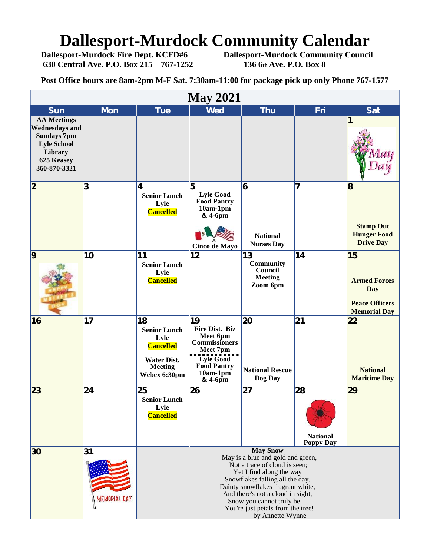# **Dallesport-Murdock Community Calendar**<br>Dallesport-Murdock Fire Dept. KCFD#6 Dallesport-Murdock Community Council

**630 Central Ave. P.O. Box 215 767-1252 136 6th Ave. P.O. Box 8**

**Dallesport-Murdock Community Council** 

**Post Office hours are 8am-2pm M-F Sat. 7:30am-11:00 for package pick up only Phone 767-1577**

| <b>May 2021</b>                                                                                                                  |                   |                                                                                                                                                                                                                                                                                                                      |                                                                                                                                              |                                                                 |                                           |                                                                                         |  |  |  |  |
|----------------------------------------------------------------------------------------------------------------------------------|-------------------|----------------------------------------------------------------------------------------------------------------------------------------------------------------------------------------------------------------------------------------------------------------------------------------------------------------------|----------------------------------------------------------------------------------------------------------------------------------------------|-----------------------------------------------------------------|-------------------------------------------|-----------------------------------------------------------------------------------------|--|--|--|--|
| <b>Sun</b>                                                                                                                       | <b>Mon</b>        | <b>Tue</b>                                                                                                                                                                                                                                                                                                           | <b>Wed</b>                                                                                                                                   | <b>Thu</b>                                                      | Fri                                       | <b>Sat</b>                                                                              |  |  |  |  |
| <b>AA Meetings</b><br><b>Wednesdays and</b><br><b>Sundays 7pm</b><br><b>Lyle School</b><br>Library<br>625 Keasey<br>360-870-3321 |                   |                                                                                                                                                                                                                                                                                                                      |                                                                                                                                              |                                                                 |                                           | 1                                                                                       |  |  |  |  |
| $\overline{\mathbf{2}}$                                                                                                          | 3                 | 4<br><b>Senior Lunch</b><br>Lyle<br><b>Cancelled</b>                                                                                                                                                                                                                                                                 | 5<br><b>Lyle Good</b><br><b>Food Pantry</b><br>$10am-1pm$<br>$&4-6\,\mathrm{pm}$<br>Cinco de Mayo                                            | 6<br><b>National</b><br><b>Nurses Day</b>                       | 7                                         | $\bf{8}$<br><b>Stamp Out</b><br><b>Hunger Food</b><br><b>Drive Day</b>                  |  |  |  |  |
| $\overline{9}$                                                                                                                   | 10                | 11<br><b>Senior Lunch</b><br>Lyle<br><b>Cancelled</b>                                                                                                                                                                                                                                                                | 12                                                                                                                                           | 13<br><b>Community</b><br>Council<br><b>Meeting</b><br>Zoom 6pm | 14                                        | 15<br><b>Armed Forces</b><br><b>Day</b><br><b>Peace Officers</b><br><b>Memorial Day</b> |  |  |  |  |
| 16                                                                                                                               | 17                | 18<br><b>Senior Lunch</b><br>Lyle<br><b>Cancelled</b><br><b>Water Dist.</b><br><b>Meeting</b><br>Webex 6:30pm                                                                                                                                                                                                        | 19<br><b>Fire Dist. Biz</b><br>Meet 6pm<br>Commissioners<br>Meet 7pm<br>Lyle Good<br><b>Food Pantry</b><br>$10am-1pm$<br>$&4-6\,\mathrm{pm}$ | 20<br><b>National Rescue</b><br>Dog Day                         | 21                                        | 22<br><b>National</b><br><b>Maritime Day</b>                                            |  |  |  |  |
| 23                                                                                                                               | 24                | 25<br><b>Senior Lunch</b><br>Lyle<br><b>Cancelled</b>                                                                                                                                                                                                                                                                | 26                                                                                                                                           | 27                                                              | 28<br><b>National</b><br><b>Poppy Day</b> | 29                                                                                      |  |  |  |  |
| 30                                                                                                                               | 31<br>EMORIAL DAY | <b>May Snow</b><br>May is a blue and gold and green,<br>Not a trace of cloud is seen;<br>Yet I find along the way<br>Snowflakes falling all the day.<br>Dainty snowflakes fragrant white,<br>And there's not a cloud in sight,<br>Snow you cannot truly be-<br>You're just petals from the tree!<br>by Annette Wynne |                                                                                                                                              |                                                                 |                                           |                                                                                         |  |  |  |  |